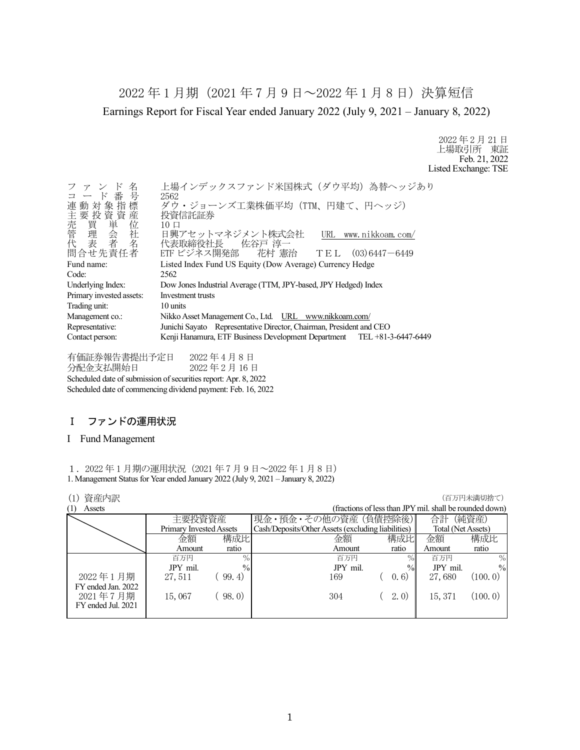2022 年 1 月期(2021 年 7 月 9 日~2022 年 1 月 8 日)決算短信 Earnings Report for Fiscal Year ended January 2022 (July 9, 2021 – January 8, 2022)

> 2022 年 2 月 21 日 上場取引所 東証 Feb. 21, 2022 Listed Exchange: TSE

| 名<br>ファン<br>コード番号<br>連動対象指標<br>)<br>要置理去<br>要買理表<br><del>,要</del> 買理表<br>問合せ先責任者 | 上場インデックスファンド米国株式 (ダウ平均) 為替ヘッジあり<br>2562<br>ダウ・ジョーンズ工業株価平均 (TTM、円建て、円ヘッジ)<br>投資信託証券<br>$10 \Box$<br>日興アセットマネジメント株式会社<br>URL www.nikkoam.com/<br>代表取締役社長 佐谷戸 淳一<br>ETF ビジネス開発部 花村 憲治 TEL (03)6447-6449 |
|----------------------------------------------------------------------------------|------------------------------------------------------------------------------------------------------------------------------------------------------------------------------------------------------|
| Fund name:                                                                       | Listed Index Fund US Equity (Dow Average) Currency Hedge                                                                                                                                             |
| Code:                                                                            | 2562                                                                                                                                                                                                 |
|                                                                                  |                                                                                                                                                                                                      |
| Underlying Index:                                                                | Dow Jones Industrial Average (TTM, JPY-based, JPY Hedged) Index                                                                                                                                      |
| Primary invested assets:                                                         | Investment trusts                                                                                                                                                                                    |
| Trading unit:                                                                    | 10 units                                                                                                                                                                                             |
| Management co.:                                                                  | Nikko Asset Management Co., Ltd. URL www.nikkoam.com/                                                                                                                                                |
| Representative:                                                                  | Junichi Sayato Representative Director, Chairman, President and CEO                                                                                                                                  |
| Contact person:                                                                  | Kenji Hanamura, ETF Business Development Department TEL +81-3-6447-6449                                                                                                                              |

有価証券報告書提出予定日 2022 年 4 月 8 日 分配金支払開始日 2022 年 2 月 16 日 Scheduled date of submission of securities report: Apr. 8, 2022 Scheduled date of commencing dividend payment: Feb. 16, 2022

# Ⅰ ファンドの運用状況

## I Fund Management

1.2022 年 1 月期の運用状況(2021 年 7 月 9 日~2022 年 1 月 8 日) 1. Management Status for Year ended January 2022 (July 9, 2021 – January 8, 2022)

## **(1) 資産内訳 インフィング インフィング (1) する (1) する (1) する (1) する (1) する (1) する (1) する (1) する (**

|                    |                         |               |                                                    |        |                                                         | ユーフィー ナイトロップチュロートノ |
|--------------------|-------------------------|---------------|----------------------------------------------------|--------|---------------------------------------------------------|--------------------|
| (1)<br>Assets      |                         |               |                                                    |        | (fractions of less than JPY mil. shall be rounded down) |                    |
|                    | 主要投資資産                  |               | 現金・預金・その他の資産 (負債控除後)                               |        | 合計                                                      | (純資産)              |
|                    | Primary Invested Assets |               | Cash/Deposits/Other Assets (excluding liabilities) |        | Total (Net Assets)                                      |                    |
|                    | 金額                      | 構成比           | 金額                                                 | 構成比    | 金額                                                      | 構成比                |
|                    | Amount                  | ratio         | Amount                                             | ratio  | Amount                                                  | ratio              |
|                    | 百万円                     | $\%$          | 百万円                                                | $\%$   | 百万円                                                     | $\%$               |
|                    | JPY mil.                | $\frac{0}{0}$ | JPY mil.                                           | $\%$   | JPY mil.                                                | $\frac{0}{0}$      |
| 2022年1月期           | 27, 511                 | 99.4)         | 169                                                | (0, 6) | 27,680                                                  | (100, 0)           |
| FY ended Jan. 2022 |                         |               |                                                    |        |                                                         |                    |
| 2021年7月期           | 15,067                  | 98.0)         | 304                                                | (2, 0) | 15, 371                                                 | (100.0)            |
| FY ended Jul. 2021 |                         |               |                                                    |        |                                                         |                    |
|                    |                         |               |                                                    |        |                                                         |                    |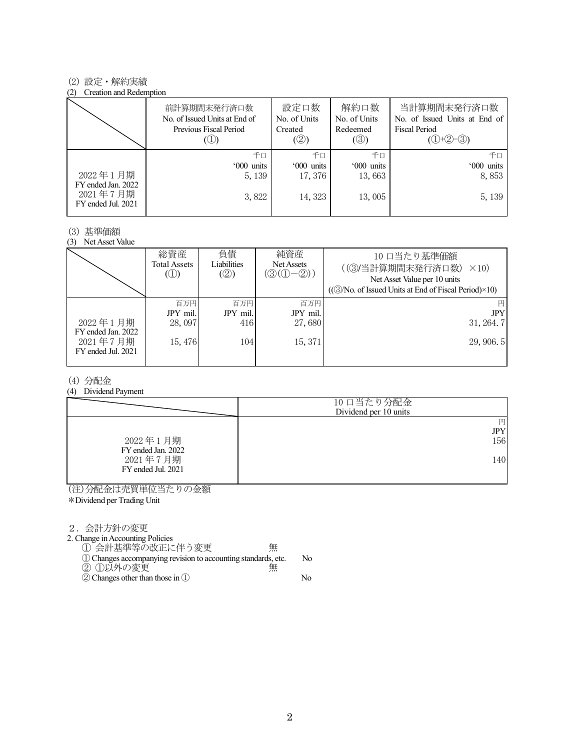## (2) 設定・解約実績

### (2) Creation and Redemption

|                                                      | 前計算期間末発行済口数<br>No. of Issued Units at End of<br>Previous Fiscal Period | 設定口数<br>No. of Units<br>Created<br>(②) | 解約口数<br>No. of Units<br>Redeemed<br>$(\circledS)$ | 当計算期間末発行済口数<br>No. of Issued Units at End of<br><b>Fiscal Period</b><br>$(①+②-③)$ |
|------------------------------------------------------|------------------------------------------------------------------------|----------------------------------------|---------------------------------------------------|-----------------------------------------------------------------------------------|
|                                                      | 千口                                                                     | 千口                                     | 千口                                                | 千口                                                                                |
|                                                      | '000 units                                                             | '000 units                             | '000 units                                        | '000 units                                                                        |
| 2022年1月期                                             | 5, 139                                                                 | 17,376                                 | 13,663                                            | 8,853                                                                             |
| FY ended Jan. 2022<br>2021年7月期<br>FY ended Jul. 2021 | 3,822                                                                  | 14, 323                                | 13,005                                            | 5, 139                                                                            |

# (3) 基準価額

(3) Net Asset Value

|                                                                  | 総資産<br><b>Total Assets</b><br>$\circledcirc$ | 負債<br>Liabilities<br>(2)      | 純資産<br>Net Assets<br>$(\textcircled{3}(\textcircled{1}-\textcircled{2}))$ | 10 口当たり基準価額<br>((3)当計算期間末発行済口数)<br>$\times$ 10)<br>Net Asset Value per 10 units<br>((3) No. of Issued Units at End of Fiscal Period) × 10) |
|------------------------------------------------------------------|----------------------------------------------|-------------------------------|---------------------------------------------------------------------------|--------------------------------------------------------------------------------------------------------------------------------------------|
| 2022年1月期<br>FY ended Jan. 2022<br>2021年7月期<br>FY ended Jul. 2021 | 百万円<br>JPY mil.<br>28,097<br>15,476          | 百万円<br>JPY mil.<br>416<br>104 | 百万円<br>JPY mil.<br>27,680<br>15, 371                                      | <b>JPY</b><br>31, 264.7<br>29,906.5                                                                                                        |

## (4) 分配金

## (4) Dividend Payment

|                                | 10 口当たり分配金<br>Dividend per 10 units |
|--------------------------------|-------------------------------------|
|                                | 円<br><b>JPY</b>                     |
| 2022年1月期<br>FY ended Jan. 2022 | 156                                 |
| 2021年7月期<br>FY ended Jul. 2021 | 140                                 |

(注)分配金は売買単位当たりの金額 \*Dividend per Trading Unit

#### 2.会計方針の変更

2. Change in Accounting Policies

① 会計基準等の改正に伴う変更 無

| 1) Changes accompanying revision to accounting standards, etc. | No. |
|----------------------------------------------------------------|-----|
| ② ①以外の変更<br>無                                                  |     |
| $\mathcal{D}$ Changes other than those in $\mathcal{D}$        | No. |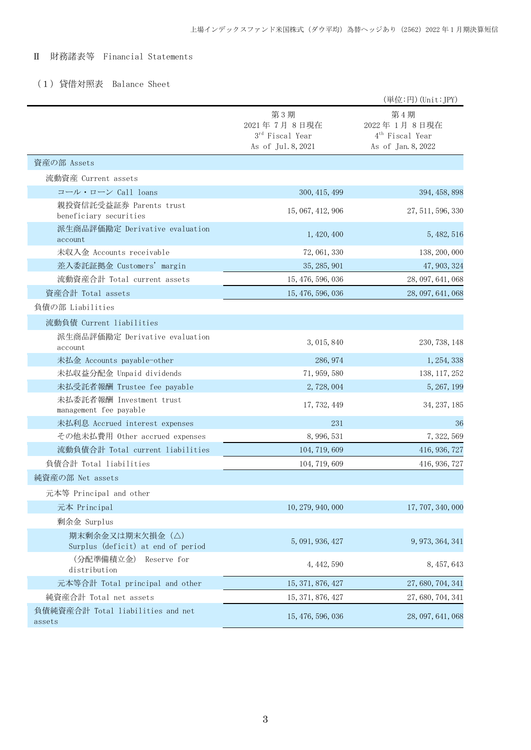# Ⅱ 財務諸表等 Financial Statements

# (1)貸借対照表 Balance Sheet

|                                                       |                                                             | (単位:円) (Unit:JPY)                                                       |
|-------------------------------------------------------|-------------------------------------------------------------|-------------------------------------------------------------------------|
|                                                       | 第3期<br>2021年7月8日現在<br>3rd Fiscal Year<br>As of Jul. 8, 2021 | 第4期<br>2022年1月8日現在<br>4 <sup>th</sup> Fiscal Year<br>As of Jan. 8, 2022 |
| 資産の部 Assets                                           |                                                             |                                                                         |
| 流動資産 Current assets                                   |                                                             |                                                                         |
| コール・ローン Call loans                                    | 300, 415, 499                                               | 394, 458, 898                                                           |
| 親投資信託受益証券 Parents trust<br>beneficiary securities     | 15, 067, 412, 906                                           | 27, 511, 596, 330                                                       |
| 派生商品評価勘定 Derivative evaluation<br>account             | 1, 420, 400                                                 | 5, 482, 516                                                             |
| 未収入金 Accounts receivable                              | 72, 061, 330                                                | 138, 200, 000                                                           |
| 差入委託証拠金 Customers' margin                             | 35, 285, 901                                                | 47, 903, 324                                                            |
| 流動資産合計 Total current assets                           | 15, 476, 596, 036                                           | 28, 097, 641, 068                                                       |
| 資産合計 Total assets                                     | 15, 476, 596, 036                                           | 28, 097, 641, 068                                                       |
| 負債の部 Liabilities                                      |                                                             |                                                                         |
| 流動負債 Current liabilities                              |                                                             |                                                                         |
| 派生商品評価勘定 Derivative evaluation<br>account             | 3, 015, 840                                                 | 230, 738, 148                                                           |
| 未払金 Accounts payable-other                            | 286, 974                                                    | 1, 254, 338                                                             |
| 未払収益分配金 Unpaid dividends                              | 71, 959, 580                                                | 138, 117, 252                                                           |
| 未払受託者報酬 Trustee fee payable                           | 2,728,004                                                   | 5, 267, 199                                                             |
| 未払委託者報酬 Investment trust<br>management fee payable    | 17, 732, 449                                                | 34, 237, 185                                                            |
| 未払利息 Accrued interest expenses                        | 231                                                         | 36                                                                      |
| その他未払費用 Other accrued expenses                        | 8, 996, 531                                                 | 7, 322, 569                                                             |
| 流動負債合計 Total current liabilities                      | 104, 719, 609                                               | 416, 936, 727                                                           |
| 負債合計 Total liabilities                                | 104, 719, 609                                               | 416, 936, 727                                                           |
| 純資産の部 Net assets                                      |                                                             |                                                                         |
| 元本等 Principal and other                               |                                                             |                                                                         |
| 元本 Principal                                          | 10, 279, 940, 000                                           | 17, 707, 340, 000                                                       |
| 剰余金 Surplus                                           |                                                             |                                                                         |
| 期末剰余金又は期末欠損金(△)<br>Surplus (deficit) at end of period | 5, 091, 936, 427                                            | 9, 973, 364, 341                                                        |
| (分配準備積立金)<br>Reserve for<br>distribution              | 4, 442, 590                                                 | 8, 457, 643                                                             |
| 元本等合計 Total principal and other                       | 15, 371, 876, 427                                           | 27, 680, 704, 341                                                       |
| 純資産合計 Total net assets                                | 15, 371, 876, 427                                           | 27, 680, 704, 341                                                       |
| 負債純資産合計 Total liabilities and net<br>assets           | 15, 476, 596, 036                                           | 28, 097, 641, 068                                                       |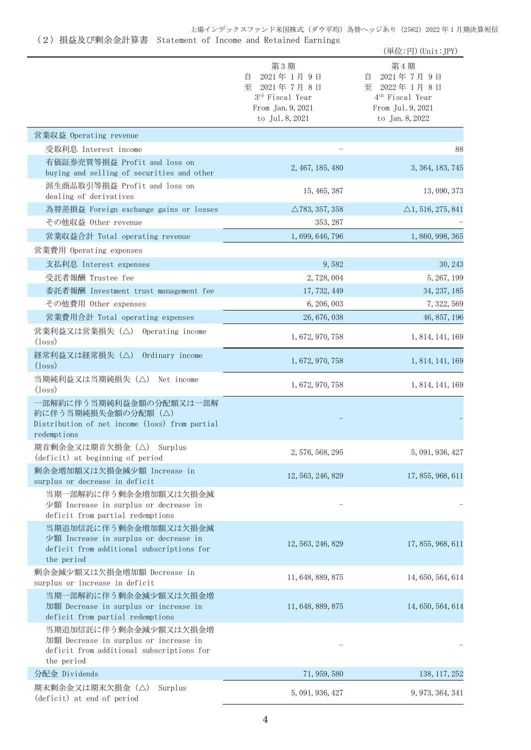# 上場インデックスファンド米国株式(ダウ平均)為替ヘッジあり(2562)2022 年 1 月期決算短信

# (2)損益及び剰余金計算書 Statement of Income and Retained Earnings

|                                                                                                                           |                                                                                                    | (単位:円) (Unit:JPY)                                                                                           |
|---------------------------------------------------------------------------------------------------------------------------|----------------------------------------------------------------------------------------------------|-------------------------------------------------------------------------------------------------------------|
|                                                                                                                           | 第3期<br>2021年1月9日<br>自<br>至<br>2021年7月8日<br>3rd Fiscal Year<br>From Jan. 9, 2021<br>to Jul. 8, 2021 | 第4期<br>2021年7月9日<br>自<br>至 2022年1月8日<br>4 <sup>th</sup> Fiscal Year<br>From Jul. 9, 2021<br>to Jan. 8, 2022 |
| 営業収益 Operating revenue                                                                                                    |                                                                                                    |                                                                                                             |
| 受取利息 Interest income                                                                                                      |                                                                                                    | 88                                                                                                          |
| 有価証券売買等損益 Profit and loss on<br>buying and selling of securities and other                                                | 2, 467, 185, 480                                                                                   | 3, 364, 183, 745                                                                                            |
| 派生商品取引等損益 Profit and loss on<br>dealing of derivatives                                                                    | 15, 465, 387                                                                                       | 13, 090, 373                                                                                                |
| 為替差損益 Foreign exchange gains or losses                                                                                    | $\triangle$ 783, 357, 358                                                                          | $\triangle$ 1, 516, 275, 841                                                                                |
| その他収益 Other revenue                                                                                                       | 353, 287                                                                                           |                                                                                                             |
| 営業収益合計 Total operating revenue                                                                                            | 1, 699, 646, 796                                                                                   | 1, 860, 998, 365                                                                                            |
| 営業費用 Operating expenses                                                                                                   |                                                                                                    |                                                                                                             |
| 支払利息 Interest expenses                                                                                                    | 9,582                                                                                              | 30, 243                                                                                                     |
| 受託者報酬 Trustee fee                                                                                                         | 2,728,004                                                                                          | 5, 267, 199                                                                                                 |
| 委託者報酬 Investment trust management fee                                                                                     | 17, 732, 449                                                                                       | 34, 237, 185                                                                                                |
| その他費用 Other expenses                                                                                                      | 6, 206, 003                                                                                        | 7, 322, 569                                                                                                 |
| 営業費用合計 Total operating expenses                                                                                           | 26, 676, 038                                                                                       | 46, 857, 196                                                                                                |
| 営業利益又は営業損失(△) Operating income<br>$(\text{loss})$                                                                         | 1, 672, 970, 758                                                                                   | 1, 814, 141, 169                                                                                            |
| 経常利益又は経常損失(△)<br>Ordinary income<br>$(\text{loss})$                                                                       | 1, 672, 970, 758                                                                                   | 1, 814, 141, 169                                                                                            |
| 当期純利益又は当期純損失(△)<br>Net income<br>$(l$ <sub>oss</sub> $)$                                                                  | 1, 672, 970, 758                                                                                   | 1, 814, 141, 169                                                                                            |
| 一部解約に伴う当期純利益金額の分配額又は一部解<br>約に伴う当期純損失金額の分配額 (△)<br>Distribution of net income (loss) from partial<br>redemptions           |                                                                                                    |                                                                                                             |
| 期首剰余金又は期首欠損金 (△) Surplus<br>(deficit) at beginning of period                                                              | 2, 576, 568, 295                                                                                   | 5, 091, 936, 427                                                                                            |
| 剰余金増加額又は欠損金減少額 Increase in<br>surplus or decrease in deficit                                                              | 12, 563, 246, 829                                                                                  | 17, 855, 968, 611                                                                                           |
| 当期一部解約に伴う剰余金増加額又は欠損金減<br>少額 Increase in surplus or decrease in<br>deficit from partial redemptions                        |                                                                                                    |                                                                                                             |
| 当期追加信託に伴う剰余金増加額又は欠損金減<br>少額 Increase in surplus or decrease in<br>deficit from additional subscriptions for<br>the period | 12, 563, 246, 829                                                                                  | 17, 855, 968, 611                                                                                           |
| 剰余金減少額又は欠損金増加額 Decrease in<br>surplus or increase in deficit                                                              | 11, 648, 889, 875                                                                                  | 14, 650, 564, 614                                                                                           |
| 当期一部解約に伴う剰余金減少額又は欠損金増<br>加額 Decrease in surplus or increase in<br>deficit from partial redemptions                        | 11, 648, 889, 875                                                                                  | 14, 650, 564, 614                                                                                           |
| 当期追加信託に伴う剰余金減少額又は欠損金増<br>加額 Decrease in surplus or increase in<br>deficit from additional subscriptions for<br>the period |                                                                                                    |                                                                                                             |
| 分配金 Dividends                                                                                                             | 71, 959, 580                                                                                       | 138, 117, 252                                                                                               |
| 期末剰余金又は期末欠損金(△)<br>Surplus<br>(deficit) at end of period                                                                  | 5, 091, 936, 427                                                                                   | 9, 973, 364, 341                                                                                            |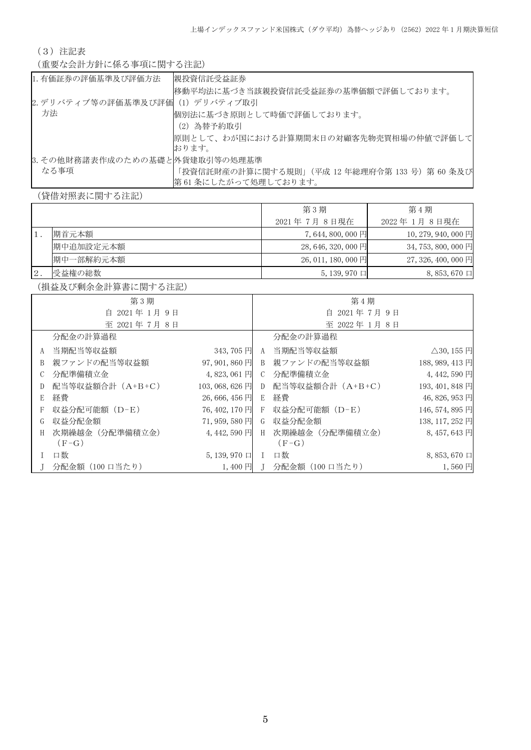(3)注記表

(重要な会計方針に係る事項に関する注記)

| 1. 有価証券の評価基準及び評価方法               | 親投資信託受益証券                                                              |
|----------------------------------|------------------------------------------------------------------------|
|                                  | 移動平均法に基づき当該親投資信託受益証券の基準価額で評価しております。                                    |
| 2. デリバティブ等の評価基準及び評価 (1) デリバティブ取引 |                                                                        |
| 方法                               | 個別法に基づき原則として時価で評価しております。                                               |
|                                  | (2) 為替予約取引                                                             |
|                                  | 原則として、わが国における計算期間末日の対顧客先物売買相場の仲値で評価して <br>おります。                        |
| 3.その他財務諸表作成のための基礎と 外貨建取引等の処理基準   |                                                                        |
| なる事項                             | 「投資信託財産の計算に関する規則」(平成 12 年総理府令第 133 号)第 60 条及び<br> 第61 条にしたがって処理しております。 |

(貸借対照表に関する注記)

|    |           | 第3期                 | 第4期                   |
|----|-----------|---------------------|-----------------------|
|    |           | 2021年 7月 8日現在       | 2022年 1月 8日現在         |
|    | 期首元本額     | 7,644,800,000円      | $10, 279, 940, 000$ 円 |
|    | 期中追加設定元本額 | 28, 646, 320, 000 円 | 34, 753, 800, 000 円   |
|    | 期中一部解約元本額 | $26,011,180,000$ 円  | 27, 326, 400, 000 円   |
| 2. | 受益権の総数    | $5, 139, 970$ 口     | $8,853,670 \square$   |

(損益及び剰余金計算書に関する注記)

|   | 第3期              |                 |               | 第4期                |                            |
|---|------------------|-----------------|---------------|--------------------|----------------------------|
|   | 自 2021年1月9日      |                 |               | 自 2021年7月9日        |                            |
|   | 至 2021年7月8日      |                 |               | 至 2022年1月8日        |                            |
|   | 分配金の計算過程         |                 |               | 分配金の計算過程           |                            |
| A | 当期配当等収益額         | $343,705$ 円     | A             | 当期配当等収益額           | $\triangle$ 30, 155 $\Box$ |
| B | 親ファンドの配当等収益額     | $97,901,860$ 円  | B             | 親ファンドの配当等収益額       | 188, 989, 413 円            |
| C | 分配準備積立金          | 4,823,061円      | $\mathcal{C}$ | 分配準備積立金            | 4,442,590円                 |
| D | 配当等収益額合計 (A+B+C) | 103, 068, 626 円 |               | D 配当等収益額合計 (A+B+C) | 193, 401, 848 円            |
| E | 経費               | $26,666,456$ 円  | E.            | 経費                 | 46, 826, 953 円             |
| F | 収益分配可能額 (D-E)    | 76, 402, 170 円  |               | F 収益分配可能額 (D-E)    | 146, 574, 895 円            |
| G | 収益分配金額           | 71,959,580円     |               | G 収益分配金額           | 138, 117, 252 円            |
| H | 次期繰越金(分配準備積立金)   | 4,442,590 円     | H             | 次期繰越金 (分配準備積立金)    | 8,457,643円                 |
|   | $(F-G)$          |                 |               | $(F-G)$            |                            |
|   | 口数               | $5, 139, 970$ 口 |               | 口数                 | $8,853,670 \square$        |
|   | 分配金額(100 口当たり)   | $1,400$ 円       |               | 分配金額(100 口当たり)     | $1,560$ 円                  |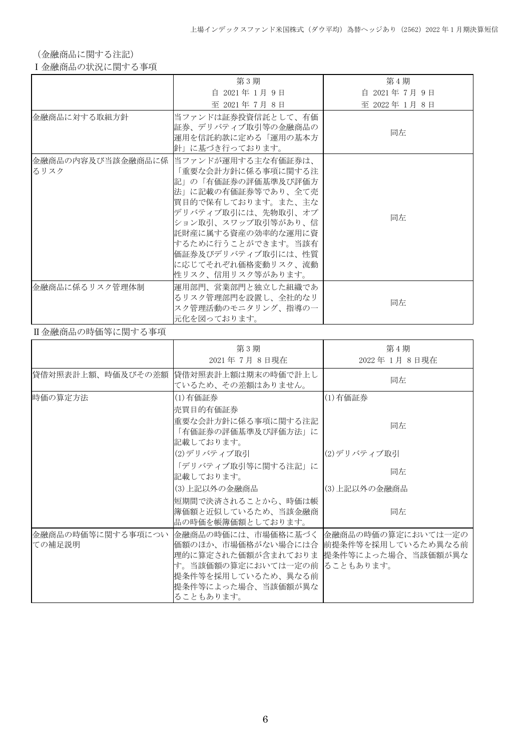(金融商品に関する注記)

Ⅰ金融商品の状況に関する事項

|                | 第3期                                                                                                                                                                                                                                                                                      | 第4期         |
|----------------|------------------------------------------------------------------------------------------------------------------------------------------------------------------------------------------------------------------------------------------------------------------------------------------|-------------|
|                | 自 2021年 1月 9日                                                                                                                                                                                                                                                                            | 自 2021年7月9日 |
|                | 至 2021年7月8日                                                                                                                                                                                                                                                                              | 至 2022年1月8日 |
| 金融商品に対する取組方針   | 当ファンドは証券投資信託として、有価<br>証券、デリバティブ取引等の金融商品の<br>運用を信託約款に定める「運用の基本方<br>針」に基づき行っております。                                                                                                                                                                                                         | 同左          |
| るリスク           | 金融商品の内容及び当該金融商品に係  当ファンドが運用する主な有価証券は、<br>「重要な会計方針に係る事項に関する注<br>記」の「有価証券の評価基準及び評価方<br>法」に記載の有価証券等であり、全て売<br> 買目的で保有しております。また、主な<br>デリバティブ取引には、先物取引、オプ<br>ション取引、スワップ取引等があり、信<br>託財産に属する資産の効率的な運用に資<br> するために行うことができます。当該有<br>価証券及びデリバティブ取引には、性質<br>に応じてそれぞれ価格変動リスク、流動<br>性リスク、信用リスク等があります。 | 同左          |
| 金融商品に係るリスク管理体制 | 運用部門、営業部門と独立した組織であ<br>るリスク管理部門を設置し、全社的なリ<br>スク管理活動のモニタリング、指導の一<br>元化を図っております。                                                                                                                                                                                                            | 同左          |

# Ⅱ金融商品の時価等に関する事項

|                             | 第3期<br>2021年7月8日現在                                                                                                                                                                                                    | 第4期<br>2022年1月8日現在 |
|-----------------------------|-----------------------------------------------------------------------------------------------------------------------------------------------------------------------------------------------------------------------|--------------------|
| 貸借対照表計上額、時価及びその差額           | 貸借対照表計上額は期末の時価で計上し<br>ているため、その差額はありません。                                                                                                                                                                               | 同左                 |
| 時価の算定方法                     | (1)有価証券<br>売買目的有価証券                                                                                                                                                                                                   | (1)有価証券            |
|                             | 重要な会計方針に係る事項に関する注記<br>「有価証券の評価基準及び評価方法」に<br>記載しております。                                                                                                                                                                 | 同左                 |
|                             | (2)デリバティブ取引                                                                                                                                                                                                           | (2)デリバティブ取引        |
|                             | 「デリバティブ取引等に関する注記」に<br>記載しております。                                                                                                                                                                                       | 同左                 |
|                             | (3)上記以外の金融商品                                                                                                                                                                                                          | (3)上記以外の金融商品       |
|                             | 短期間で決済されることから、時価は帳<br>簿価額と近似しているため、当該金融商<br>品の時価を帳簿価額としております。                                                                                                                                                         | 同左                 |
| 金融商品の時価等に関する事項につい<br>ての補足説明 | 金融商品の時価には、市場価格に基づく   金融商品の時価の算定においては一定の <br>価額のほか、市場価格がない場合には合  前提条件等を採用しているため異なる前<br>理的に算定された価額が含まれておりま 提条件等によった場合、当該価額が異な<br>す。当該価額の算定においては一定の前  ることもあります。<br>提条件等を採用しているため、異なる前<br>提条件等によった場合、当該価額が異な<br>ることもあります。 |                    |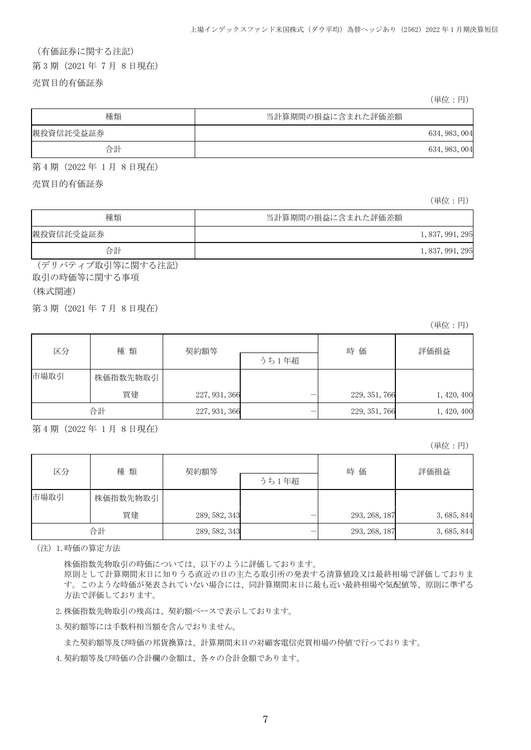# (有価証券に関する注記) 第 3 期(2021 年 7 月 8 日現在)

売買目的有価証券

(単位:円)

| 種類        | 当計算期間の損益に含まれた評価差額 |
|-----------|-------------------|
| 親投資信託受益証券 | 634, 983, 004     |
| 合計        | 634, 983, 004     |

第 4 期(2022 年 1 月 8 日現在)

売買目的有価証券

(単位:円)

| 種類        | 当計算期間の損益に含まれた評価差額 |                  |
|-----------|-------------------|------------------|
| 親投資信託受益証券 |                   | 1, 837, 991, 295 |
| 合計        |                   | 1, 837, 991, 295 |

(デリバティブ取引等に関する注記) 取引の時価等に関する事項

(株式関連)

第 3 期(2021 年 7 月 8 日現在)

(単位:円)

| 区分   | 種類       | 契約額等          | うち1年超 | 時価            | 評価損益        |
|------|----------|---------------|-------|---------------|-------------|
| 市場取引 | 株価指数先物取引 |               |       |               |             |
|      | 買建       | 227, 931, 366 |       | 229, 351, 766 | 1, 420, 400 |
|      | 合計       | 227, 931, 366 |       | 229, 351, 766 | 1, 420, 400 |

第 4 期(2022 年 1 月 8 日現在)

(単位:円)

| 区分   | 種類       | 契約額等          |       | 時価            | 評価損益        |
|------|----------|---------------|-------|---------------|-------------|
|      |          |               | うち1年超 |               |             |
| 市場取引 | 株価指数先物取引 |               |       |               |             |
|      | 買建       | 289, 582, 343 |       | 293, 268, 187 | 3, 685, 844 |
|      | 合計       | 289, 582, 343 |       | 293, 268, 187 | 3, 685, 844 |

(注)1.時価の算定方法

株価指数先物取引の時価については、以下のように評価しております。

原則として計算期間末日に知りうる直近の日の主たる取引所の発表する清算値段又は最終相場で評価しておりま す。このような時価が発表されていない場合には、同計算期間末日に最も近い最終相場や気配値等、原則に準ずる 方法で評価しております。

2.株価指数先物取引の残高は、契約額ベースで表示しております。

3.契約額等には手数料相当額を含んでおりません。

また契約額等及び時価の邦貨換算は、計算期間末日の対顧客電信売買相場の仲値で行っております。

4.契約額等及び時価の合計欄の金額は、各々の合計金額であります。